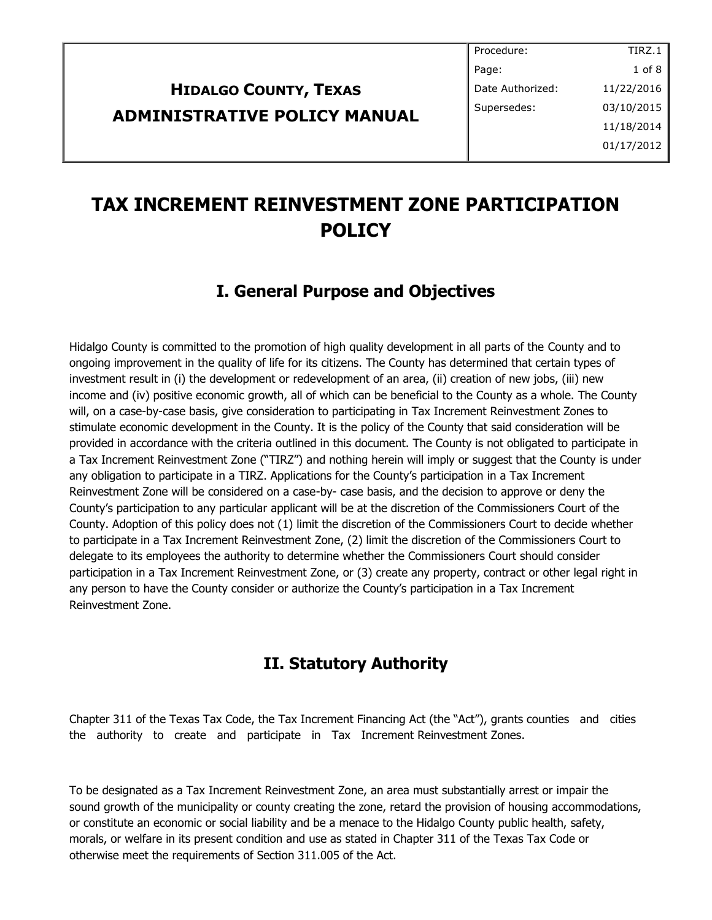# **HIDALGO COUNTY, TEXAS ADMINISTRATIVE POLICY MANUAL**

# **TAX INCREMENT REINVESTMENT ZONE PARTICIPATION POLICY**

#### **I. General Purpose and Objectives**

Hidalgo County is committed to the promotion of high quality development in all parts of the County and to ongoing improvement in the quality of life for its citizens. The County has determined that certain types of investment result in (i) the development or redevelopment of an area, (ii) creation of new jobs, (iii) new income and (iv) positive economic growth, all of which can be beneficial to the County as a whole. The County will, on a case-by-case basis, give consideration to participating in Tax Increment Reinvestment Zones to stimulate economic development in the County. It is the policy of the County that said consideration will be provided in accordance with the criteria outlined in this document. The County is not obligated to participate in a Tax Increment Reinvestment Zone ("TIRZ") and nothing herein will imply or suggest that the County is under any obligation to participate in a TIRZ. Applications for the County's participation in a Tax Increment Reinvestment Zone will be considered on a case-by- case basis, and the decision to approve or deny the County's participation to any particular applicant will be at the discretion of the Commissioners Court of the County. Adoption of this policy does not (1) limit the discretion of the Commissioners Court to decide whether to participate in a Tax Increment Reinvestment Zone, (2) limit the discretion of the Commissioners Court to delegate to its employees the authority to determine whether the Commissioners Court should consider participation in a Tax Increment Reinvestment Zone, or (3) create any property, contract or other legal right in any person to have the County consider or authorize the County's participation in a Tax Increment Reinvestment Zone.

#### **II. Statutory Authority**

Chapter 311 of the Texas Tax Code, the Tax Increment Financing Act (the "Act"), grants counties and cities the authority to create and participate in Tax Increment Reinvestment Zones.

To be designated as a Tax Increment Reinvestment Zone, an area must substantially arrest or impair the sound growth of the municipality or county creating the zone, retard the provision of housing accommodations, or constitute an economic or social liability and be a menace to the Hidalgo County public health, safety, morals, or welfare in its present condition and use as stated in Chapter 311 of the Texas Tax Code or otherwise meet the requirements of Section 311.005 of the Act.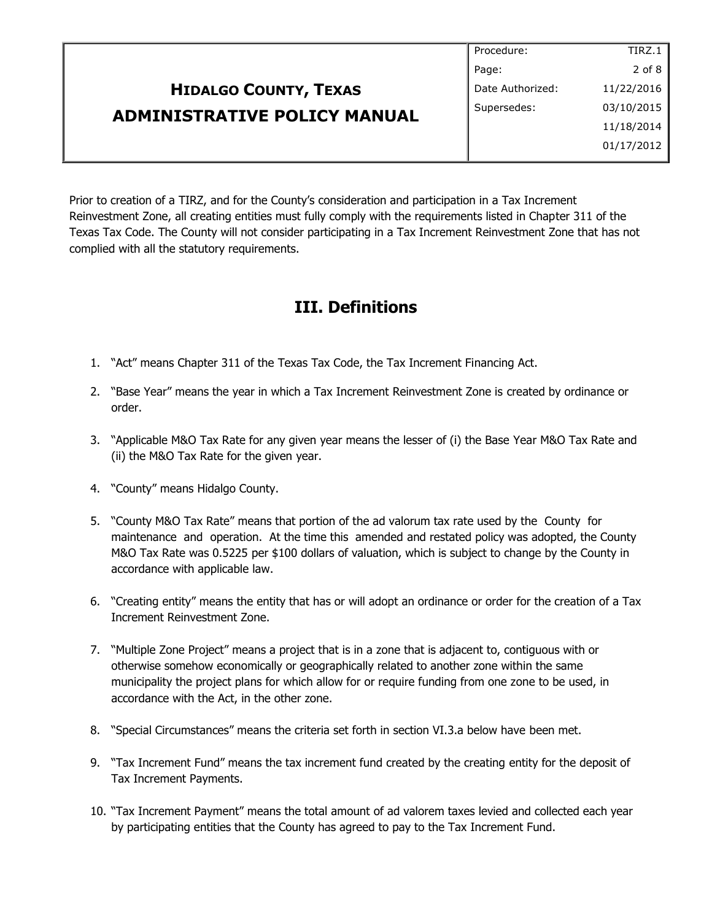#### **HIDALGO COUNTY, TEXAS ADMINISTRATIVE POLICY MANUAL** Procedure: Page: Date Authorized: Supersedes: TIRZ.1 2 of 8 11/22/2016 03/10/2015 11/18/2014 01/17/2012

Prior to creation of a TIRZ, and for the County's consideration and participation in a Tax Increment Reinvestment Zone, all creating entities must fully comply with the requirements listed in Chapter 311 of the Texas Tax Code. The County will not consider participating in a Tax Increment Reinvestment Zone that has not complied with all the statutory requirements.

## **III. Definitions**

- 1. "Act" means Chapter 311 of the Texas Tax Code, the Tax Increment Financing Act.
- 2. "Base Year" means the year in which a Tax Increment Reinvestment Zone is created by ordinance or order.
- 3. "Applicable M&O Tax Rate for any given year means the lesser of (i) the Base Year M&O Tax Rate and (ii) the M&O Tax Rate for the given year.
- 4. "County" means Hidalgo County.
- 5. "County M&O Tax Rate" means that portion of the ad valorum tax rate used by the County for maintenance and operation. At the time this amended and restated policy was adopted, the County M&O Tax Rate was 0.5225 per \$100 dollars of valuation, which is subject to change by the County in accordance with applicable law.
- 6. "Creating entity" means the entity that has or will adopt an ordinance or order for the creation of a Tax Increment Reinvestment Zone.
- 7. "Multiple Zone Project" means a project that is in a zone that is adjacent to, contiguous with or otherwise somehow economically or geographically related to another zone within the same municipality the project plans for which allow for or require funding from one zone to be used, in accordance with the Act, in the other zone.
- 8. "Special Circumstances" means the criteria set forth in section VI.3.a below have been met.
- 9. "Tax Increment Fund" means the tax increment fund created by the creating entity for the deposit of Tax Increment Payments.
- 10. "Tax Increment Payment" means the total amount of ad valorem taxes levied and collected each year by participating entities that the County has agreed to pay to the Tax Increment Fund.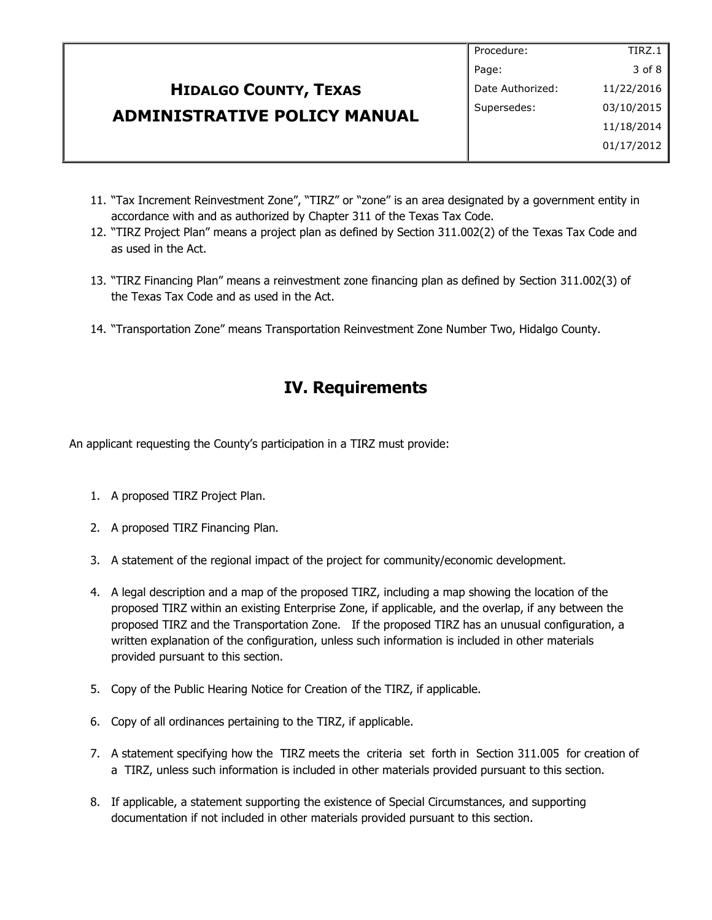|                                     | Procedure:       | TIRZ.1     |
|-------------------------------------|------------------|------------|
|                                     | Page:            | 3 of 8     |
| <b>HIDALGO COUNTY, TEXAS</b>        | Date Authorized: | 11/22/2016 |
| <b>ADMINISTRATIVE POLICY MANUAL</b> | Supersedes:      | 03/10/2015 |
|                                     |                  | 11/18/2014 |
|                                     |                  | 01/17/2012 |
|                                     |                  |            |

- 11. "Tax Increment Reinvestment Zone", "TIRZ" or "zone" is an area designated by a government entity in accordance with and as authorized by Chapter 311 of the Texas Tax Code.
- 12. "TIRZ Project Plan" means a project plan as defined by Section 311.002(2) of the Texas Tax Code and as used in the Act.
- 13. "TIRZ Financing Plan" means a reinvestment zone financing plan as defined by Section 311.002(3) of the Texas Tax Code and as used in the Act.
- 14. "Transportation Zone" means Transportation Reinvestment Zone Number Two, Hidalgo County.

### **IV. Requirements**

An applicant requesting the County's participation in a TIRZ must provide:

- 1. A proposed TIRZ Project Plan.
- 2. A proposed TIRZ Financing Plan.
- 3. A statement of the regional impact of the project for community/economic development.
- 4. A legal description and a map of the proposed TIRZ, including a map showing the location of the proposed TIRZ within an existing Enterprise Zone, if applicable, and the overlap, if any between the proposed TIRZ and the Transportation Zone. If the proposed TIRZ has an unusual configuration, a written explanation of the configuration, unless such information is included in other materials provided pursuant to this section.
- 5. Copy of the Public Hearing Notice for Creation of the TIRZ, if applicable.
- 6. Copy of all ordinances pertaining to the TIRZ, if applicable.
- 7. A statement specifying how the TIRZ meets the criteria set forth in Section 311.005 for creation of a TIRZ, unless such information is included in other materials provided pursuant to this section.
- 8. If applicable, a statement supporting the existence of Special Circumstances, and supporting documentation if not included in other materials provided pursuant to this section.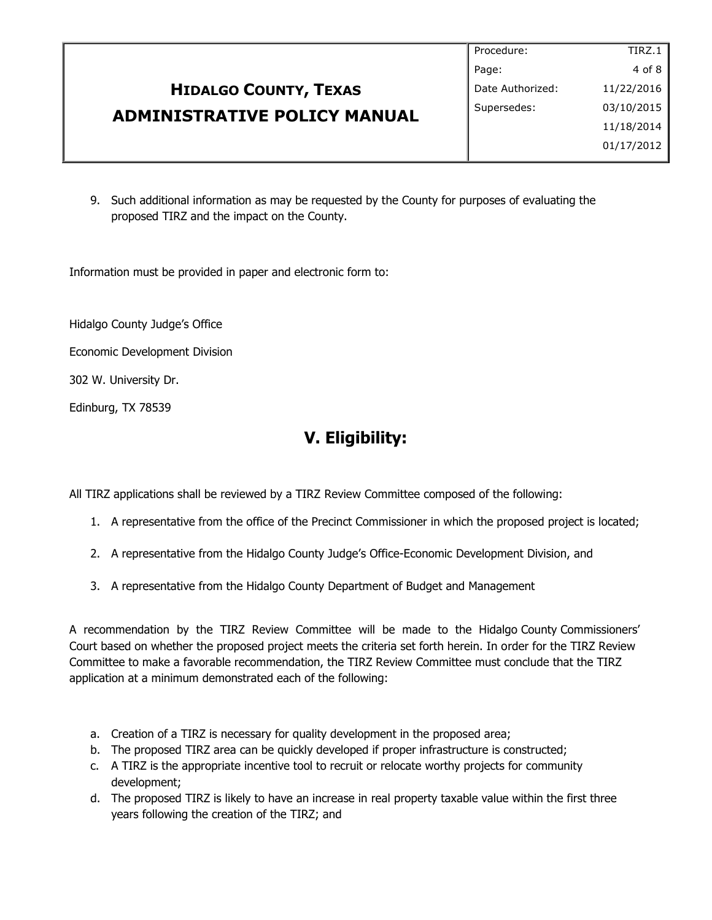|                                     | Procedure:       | TIRZ.1     |
|-------------------------------------|------------------|------------|
|                                     | Page:            | 4 of 8     |
| <b>HIDALGO COUNTY, TEXAS</b>        | Date Authorized: | 11/22/2016 |
| <b>ADMINISTRATIVE POLICY MANUAL</b> | Supersedes:      | 03/10/2015 |
|                                     |                  | 11/18/2014 |
|                                     |                  | 01/17/2012 |
|                                     |                  |            |

9. Such additional information as may be requested by the County for purposes of evaluating the proposed TIRZ and the impact on the County.

Information must be provided in paper and electronic form to:

Hidalgo County Judge's Office

Economic Development Division

302 W. University Dr.

Edinburg, TX 78539

### **V. Eligibility:**

All TIRZ applications shall be reviewed by a TIRZ Review Committee composed of the following:

- 1. A representative from the office of the Precinct Commissioner in which the proposed project is located;
- 2. A representative from the Hidalgo County Judge's Office-Economic Development Division, and
- 3. A representative from the Hidalgo County Department of Budget and Management

A recommendation by the TIRZ Review Committee will be made to the Hidalgo County Commissioners' Court based on whether the proposed project meets the criteria set forth herein. In order for the TIRZ Review Committee to make a favorable recommendation, the TIRZ Review Committee must conclude that the TIRZ application at a minimum demonstrated each of the following:

- a. Creation of a TIRZ is necessary for quality development in the proposed area;
- b. The proposed TIRZ area can be quickly developed if proper infrastructure is constructed;
- c. A TIRZ is the appropriate incentive tool to recruit or relocate worthy projects for community development;
- d. The proposed TIRZ is likely to have an increase in real property taxable value within the first three years following the creation of the TIRZ; and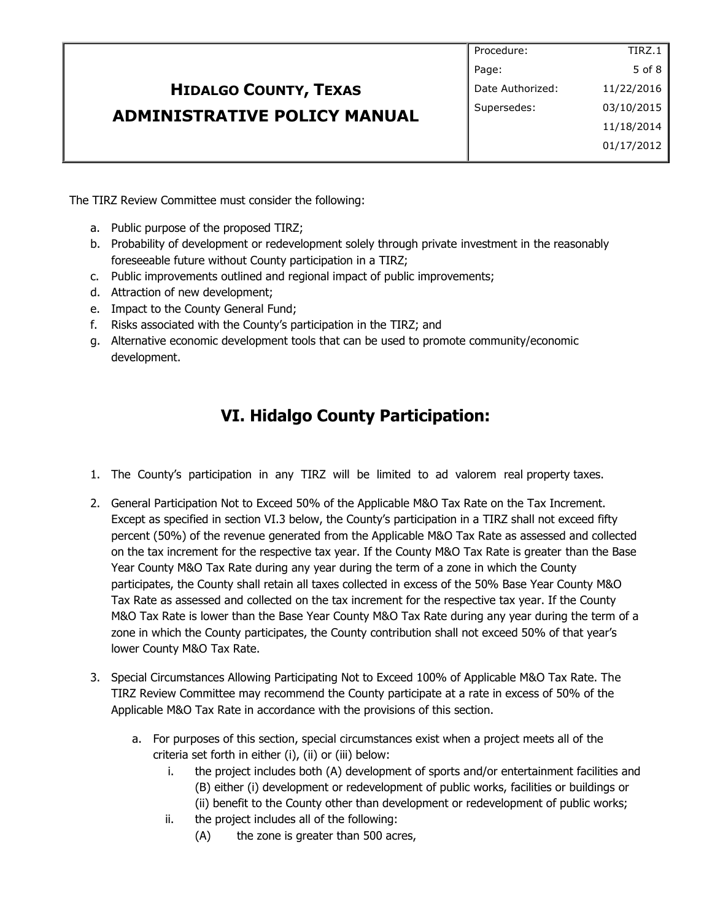|                                     | Procedure:       | TIRZ.1     |
|-------------------------------------|------------------|------------|
|                                     | Page:            | 5 of 8     |
| <b>HIDALGO COUNTY, TEXAS</b>        | Date Authorized: | 11/22/2016 |
| <b>ADMINISTRATIVE POLICY MANUAL</b> | Supersedes:      | 03/10/2015 |
|                                     |                  | 11/18/2014 |
|                                     |                  | 01/17/2012 |
|                                     |                  |            |

The TIRZ Review Committee must consider the following:

- a. Public purpose of the proposed TIRZ;
- b. Probability of development or redevelopment solely through private investment in the reasonably foreseeable future without County participation in a TIRZ;
- c. Public improvements outlined and regional impact of public improvements;
- d. Attraction of new development;
- e. Impact to the County General Fund;
- f. Risks associated with the County's participation in the TIRZ; and
- g. Alternative economic development tools that can be used to promote community/economic development.

## **VI. Hidalgo County Participation:**

- 1. The County's participation in any TIRZ will be limited to ad valorem real property taxes.
- 2. General Participation Not to Exceed 50% of the Applicable M&O Tax Rate on the Tax Increment. Except as specified in section VI.3 below, the County's participation in a TIRZ shall not exceed fifty percent (50%) of the revenue generated from the Applicable M&O Tax Rate as assessed and collected on the tax increment for the respective tax year. If the County M&O Tax Rate is greater than the Base Year County M&O Tax Rate during any year during the term of a zone in which the County participates, the County shall retain all taxes collected in excess of the 50% Base Year County M&O Tax Rate as assessed and collected on the tax increment for the respective tax year. If the County M&O Tax Rate is lower than the Base Year County M&O Tax Rate during any year during the term of a zone in which the County participates, the County contribution shall not exceed 50% of that year's lower County M&O Tax Rate.
- 3. Special Circumstances Allowing Participating Not to Exceed 100% of Applicable M&O Tax Rate. The TIRZ Review Committee may recommend the County participate at a rate in excess of 50% of the Applicable M&O Tax Rate in accordance with the provisions of this section.
	- a. For purposes of this section, special circumstances exist when a project meets all of the criteria set forth in either (i), (ii) or (iii) below:
		- i. the project includes both (A) development of sports and/or entertainment facilities and (B) either (i) development or redevelopment of public works, facilities or buildings or (ii) benefit to the County other than development or redevelopment of public works;
		- ii. the project includes all of the following:
			- (A) the zone is greater than 500 acres,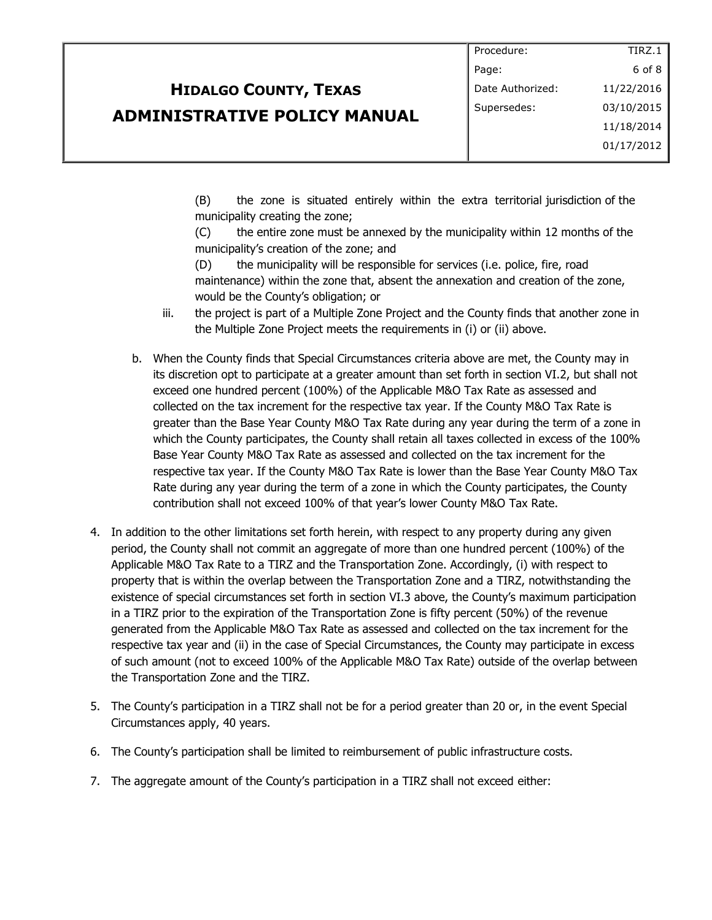#### **HIDALGO COUNTY, TEXAS ADMINISTRATIVE POLICY MANUAL** Page: Date Authorized: Supersedes: 11/22/2016 03/10/2015 11/18/2014 01/17/2012

(B) the zone is situated entirely within the extra territorial jurisdiction of the municipality creating the zone;

Procedure:

TIRZ.1 6 of 8

(C) the entire zone must be annexed by the municipality within 12 months of the municipality's creation of the zone; and

(D) the municipality will be responsible for services (i.e. police, fire, road maintenance) within the zone that, absent the annexation and creation of the zone, would be the County's obligation; or

- iii. the project is part of a Multiple Zone Project and the County finds that another zone in the Multiple Zone Project meets the requirements in (i) or (ii) above.
- b. When the County finds that Special Circumstances criteria above are met, the County may in its discretion opt to participate at a greater amount than set forth in section VI.2, but shall not exceed one hundred percent (100%) of the Applicable M&O Tax Rate as assessed and collected on the tax increment for the respective tax year. If the County M&O Tax Rate is greater than the Base Year County M&O Tax Rate during any year during the term of a zone in which the County participates, the County shall retain all taxes collected in excess of the 100% Base Year County M&O Tax Rate as assessed and collected on the tax increment for the respective tax year. If the County M&O Tax Rate is lower than the Base Year County M&O Tax Rate during any year during the term of a zone in which the County participates, the County contribution shall not exceed 100% of that year's lower County M&O Tax Rate.
- 4. In addition to the other limitations set forth herein, with respect to any property during any given period, the County shall not commit an aggregate of more than one hundred percent (100%) of the Applicable M&O Tax Rate to a TIRZ and the Transportation Zone. Accordingly, (i) with respect to property that is within the overlap between the Transportation Zone and a TIRZ, notwithstanding the existence of special circumstances set forth in section VI.3 above, the County's maximum participation in a TIRZ prior to the expiration of the Transportation Zone is fifty percent (50%) of the revenue generated from the Applicable M&O Tax Rate as assessed and collected on the tax increment for the respective tax year and (ii) in the case of Special Circumstances, the County may participate in excess of such amount (not to exceed 100% of the Applicable M&O Tax Rate) outside of the overlap between the Transportation Zone and the TIRZ.
- 5. The County's participation in a TIRZ shall not be for a period greater than 20 or, in the event Special Circumstances apply, 40 years.
- 6. The County's participation shall be limited to reimbursement of public infrastructure costs.
- 7. The aggregate amount of the County's participation in a TIRZ shall not exceed either: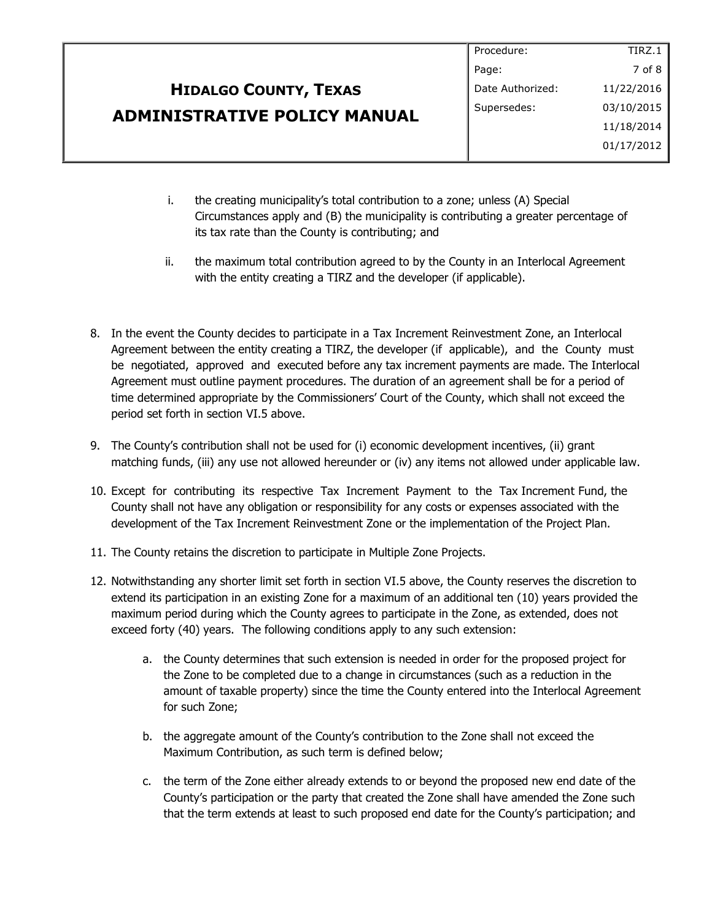|                                     | Procedure:       | TIRZ.1     |
|-------------------------------------|------------------|------------|
|                                     | Page:            | 7 of 8     |
| <b>HIDALGO COUNTY, TEXAS</b>        | Date Authorized: | 11/22/2016 |
| <b>ADMINISTRATIVE POLICY MANUAL</b> | Supersedes:      | 03/10/2015 |
|                                     |                  | 11/18/2014 |
|                                     |                  | 01/17/2012 |
|                                     |                  |            |
|                                     |                  |            |

- i. the creating municipality's total contribution to a zone; unless (A) Special Circumstances apply and (B) the municipality is contributing a greater percentage of its tax rate than the County is contributing; and
- ii. the maximum total contribution agreed to by the County in an Interlocal Agreement with the entity creating a TIRZ and the developer (if applicable).
- 8. In the event the County decides to participate in a Tax Increment Reinvestment Zone, an Interlocal Agreement between the entity creating a TIRZ, the developer (if applicable), and the County must be negotiated, approved and executed before any tax increment payments are made. The Interlocal Agreement must outline payment procedures. The duration of an agreement shall be for a period of time determined appropriate by the Commissioners' Court of the County, which shall not exceed the period set forth in section VI.5 above.
- 9. The County's contribution shall not be used for (i) economic development incentives, (ii) grant matching funds, (iii) any use not allowed hereunder or (iv) any items not allowed under applicable law.
- 10. Except for contributing its respective Tax Increment Payment to the Tax Increment Fund, the County shall not have any obligation or responsibility for any costs or expenses associated with the development of the Tax Increment Reinvestment Zone or the implementation of the Project Plan.
- 11. The County retains the discretion to participate in Multiple Zone Projects.
- 12. Notwithstanding any shorter limit set forth in section VI.5 above, the County reserves the discretion to extend its participation in an existing Zone for a maximum of an additional ten (10) years provided the maximum period during which the County agrees to participate in the Zone, as extended, does not exceed forty (40) years. The following conditions apply to any such extension:
	- a. the County determines that such extension is needed in order for the proposed project for the Zone to be completed due to a change in circumstances (such as a reduction in the amount of taxable property) since the time the County entered into the Interlocal Agreement for such Zone;
	- b. the aggregate amount of the County's contribution to the Zone shall not exceed the Maximum Contribution, as such term is defined below;
	- c. the term of the Zone either already extends to or beyond the proposed new end date of the County's participation or the party that created the Zone shall have amended the Zone such that the term extends at least to such proposed end date for the County's participation; and